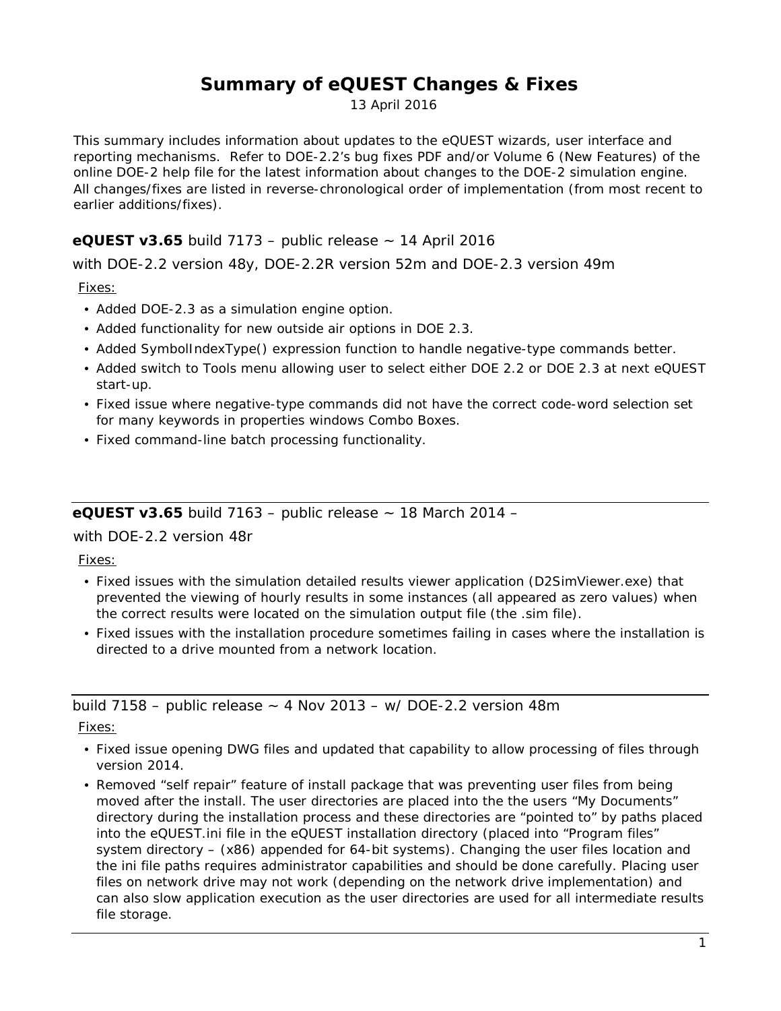# **Summary of eQUEST Changes & Fixes**

13 April 2016

This summary includes information about updates to the eQUEST wizards, user interface and reporting mechanisms. Refer to DOE-2.2's bug fixes PDF and/or Volume 6 (New Features) of the online DOE-2 help file for the latest information about changes to the DOE-2 simulation engine. All changes/fixes are listed in reverse-chronological order of implementation (from most recent to earlier additions/fixes).

### **eQUEST v3.65** build 7173 – public release ~ 14 April 2016

with DOE-2.2 version 48y, DOE-2.2R version 52m and DOE-2.3 version 49m

Fixes:

- Added DOE-2.3 as a simulation engine option.
- Added functionality for new outside air options in DOE 2.3.
- Added SymbolIndexType() expression function to handle negative-type commands better.
- Added switch to Tools menu allowing user to select either DOE 2.2 or DOE 2.3 at next eQUEST start-up.
- Fixed issue where negative-type commands did not have the correct code-word selection set for many keywords in properties windows Combo Boxes.
- Fixed command-line batch processing functionality.

**eQUEST v3.65** build 7163 – public release ~ 18 March 2014 –

with DOE-2.2 version 48r

Fixes:

- Fixed issues with the simulation detailed results viewer application (D2SimViewer.exe) that prevented the viewing of hourly results in some instances (all appeared as zero values) when the correct results were located on the simulation output file (the .sim file).
- Fixed issues with the installation procedure sometimes failing in cases where the installation is directed to a drive mounted from a network location.

build  $7158$  – public release  $\sim$  4 Nov 2013 – w/ DOE-2.2 version 48m

Fixes:

- Fixed issue opening DWG files and updated that capability to allow processing of files through version 2014.
- Removed "self repair" feature of install package that was preventing user files from being moved after the install. The user directories are placed into the the users "My Documents" directory during the installation process and these directories are "pointed to" by paths placed into the eQUEST.ini file in the eQUEST installation directory (placed into "Program files" system directory – (x86) appended for 64-bit systems). Changing the user files location and the ini file paths requires administrator capabilities and should be done carefully. Placing user files on network drive may not work (depending on the network drive implementation) and can also slow application execution as the user directories are used for all intermediate results file storage.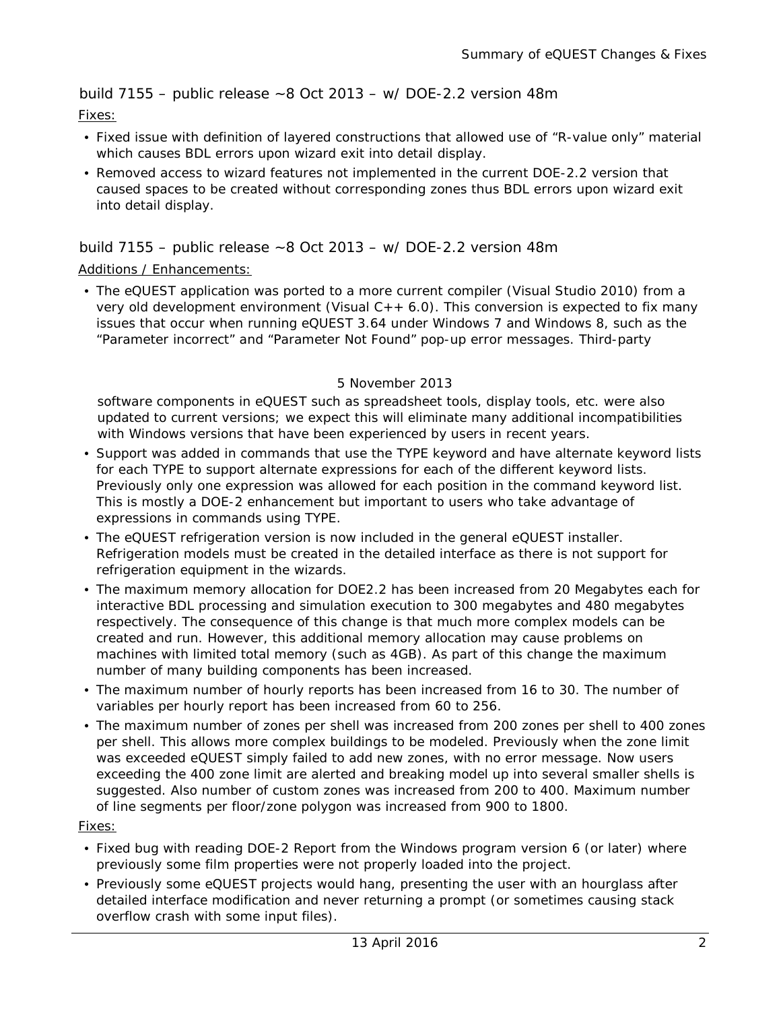build  $7155$  – public release  $\sim$  8 Oct 2013 – w/ DOE-2.2 version 48m

Fixes:

- Fixed issue with definition of layered constructions that allowed use of "R-value only" material which causes BDL errors upon wizard exit into detail display.
- Removed access to wizard features not implemented in the current DOE-2.2 version that caused spaces to be created without corresponding zones thus BDL errors upon wizard exit into detail display.

#### build  $7155$  – public release  $\sim$  8 Oct 2013 – w/ DOE-2.2 version 48m

#### Additions / Enhancements:

• The eQUEST application was ported to a more current compiler (Visual Studio 2010) from a very old development environment (Visual  $C++ 6.0$ ). This conversion is expected to fix many issues that occur when running eQUEST 3.64 under Windows 7 and Windows 8, such as the "Parameter incorrect" and "Parameter Not Found" pop-up error messages. Third-party

#### 5 November 2013

software components in eQUEST such as spreadsheet tools, display tools, etc. were also updated to current versions; we expect this will eliminate many additional incompatibilities with Windows versions that have been experienced by users in recent years.

- Support was added in commands that use the TYPE keyword and have alternate keyword lists for each TYPE to support alternate expressions for each of the different keyword lists. Previously only one expression was allowed for each position in the command keyword list. This is mostly a DOE-2 enhancement but important to users who take advantage of expressions in commands using TYPE.
- The eQUEST refrigeration version is now included in the general eQUEST installer. Refrigeration models must be created in the detailed interface as there is not support for refrigeration equipment in the wizards.
- The maximum memory allocation for DOE2.2 has been increased from 20 Megabytes each for interactive BDL processing and simulation execution to 300 megabytes and 480 megabytes respectively. The consequence of this change is that much more complex models can be created and run. However, this additional memory allocation may cause problems on machines with limited total memory (such as 4GB). As part of this change the maximum number of many building components has been increased.
- The maximum number of hourly reports has been increased from 16 to 30. The number of variables per hourly report has been increased from 60 to 256.
- The maximum number of zones per shell was increased from 200 zones per shell to 400 zones per shell. This allows more complex buildings to be modeled. Previously when the zone limit was exceeded eQUEST simply failed to add new zones, with no error message. Now users exceeding the 400 zone limit are alerted and breaking model up into several smaller shells is suggested. Also number of custom zones was increased from 200 to 400. Maximum number of line segments per floor/zone polygon was increased from 900 to 1800.

#### Fixes:

- Fixed bug with reading DOE-2 Report from the Windows program version 6 (or later) where previously some film properties were not properly loaded into the project.
- Previously some eQUEST projects would hang, presenting the user with an hourglass after detailed interface modification and never returning a prompt (or sometimes causing stack overflow crash with some input files).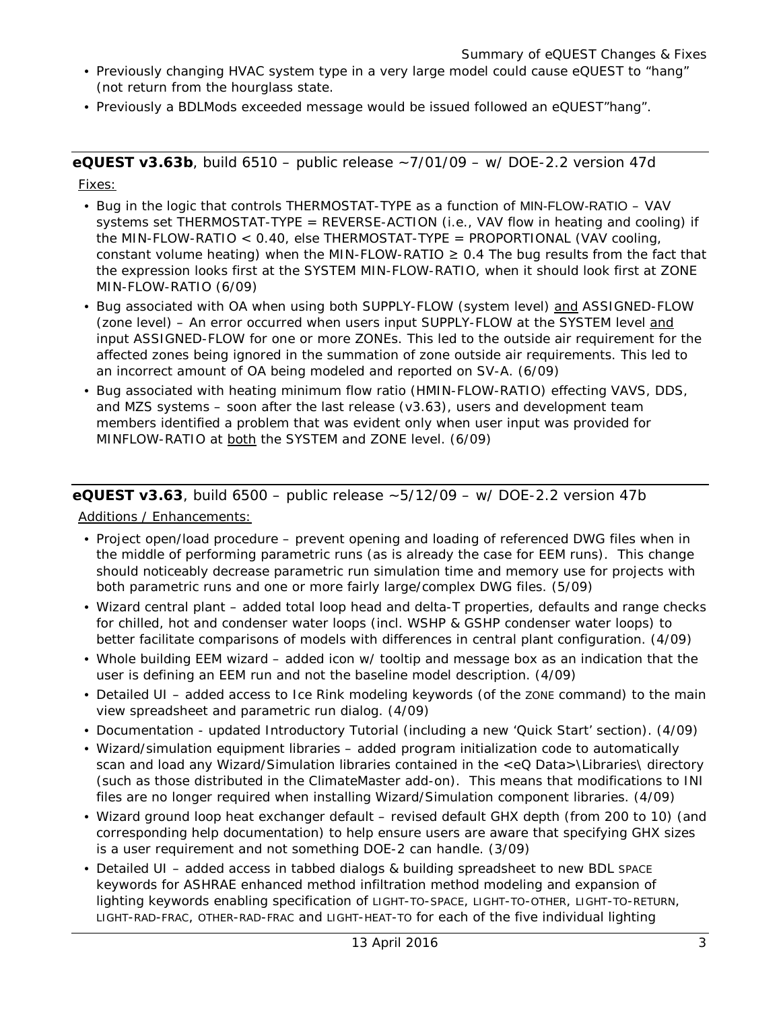- Previously changing HVAC system type in a very large model could cause eQUEST to "hang" (not return from the hourglass state.
- Previously a BDLMods exceeded message would be issued followed an eQUEST"hang".

**eQUEST v3.63b**, build 6510 – public release ~7/01/09 – w/ DOE-2.2 version 47d Fixes:

- Bug in the logic that controls THERMOSTAT-TYPE as a function of MIN-FLOW-RATIO VAV systems set THERMOSTAT-TYPE = REVERSE-ACTION (i.e., VAV flow in heating and cooling) if the MIN-FLOW-RATIO < 0.40, else THERMOSTAT-TYPE = PROPORTIONAL (VAV cooling, constant volume heating) when the MIN-FLOW-RATIO  $\geq$  0.4 The bug results from the fact that the expression looks first at the SYSTEM MIN-FLOW-RATIO, when it should look first at ZONE MIN-FLOW-RATIO (6/09)
- Bug associated with OA when using both SUPPLY-FLOW (system level) and ASSIGNED-FLOW (zone level) – An error occurred when users input SUPPLY-FLOW at the SYSTEM level and input ASSIGNED-FLOW for one or more ZONEs. This led to the outside air requirement for the affected zones being ignored in the summation of zone outside air requirements. This led to an incorrect amount of OA being modeled and reported on SV-A. (6/09)
- Bug associated with heating minimum flow ratio (HMIN-FLOW-RATIO) effecting VAVS, DDS, and MZS systems – soon after the last release (v3.63), users and development team members identified a problem that was evident only when user input was provided for MINFLOW-RATIO at both the SYSTEM and ZONE level. (6/09)

## **eQUEST v3.63**, build 6500 – public release ~5/12/09 – w/ DOE-2.2 version 47b

Additions / Enhancements:

- Project open/load procedure prevent opening and loading of referenced DWG files when in the middle of performing parametric runs (as is already the case for EEM runs). This change should noticeably decrease parametric run simulation time and memory use for projects with both parametric runs and one or more fairly large/complex DWG files. (5/09)
- Wizard central plant added total loop head and delta-T properties, defaults and range checks for chilled, hot and condenser water loops (incl. WSHP & GSHP condenser water loops) to better facilitate comparisons of models with differences in central plant configuration. (4/09)
- Whole building EEM wizard added icon w/ tooltip and message box as an indication that the user is defining an EEM run and not the baseline model description. (4/09)
- Detailed UI added access to Ice Rink modeling keywords (of the zone command) to the main view spreadsheet and parametric run dialog. (4/09)
- Documentation updated Introductory Tutorial (including a new 'Quick Start' section). (4/09)
- Wizard/simulation equipment libraries added program initialization code to automatically scan and load any Wizard/Simulation libraries contained in the <eQ Data>\Libraries\ directory (such as those distributed in the ClimateMaster add-on). This means that modifications to INI files are no longer required when installing Wizard/Simulation component libraries. (4/09)
- Wizard ground loop heat exchanger default revised default GHX depth (from 200 to 10) (and corresponding help documentation) to help ensure users are aware that specifying GHX sizes is a user requirement and not something DOE-2 can handle. (3/09)
- Detailed UI added access in tabbed dialogs & building spreadsheet to new BDL SPACE keywords for ASHRAE enhanced method infiltration method modeling and expansion of lighting keywords enabling specification of LIGHT-TO-SPACE, LIGHT-TO-OTHER, LIGHT-TO-RETURN, LIGHT-RAD-FRAC, OTHER-RAD-FRAC and LIGHT-HEAT-TO for each of the five individual lighting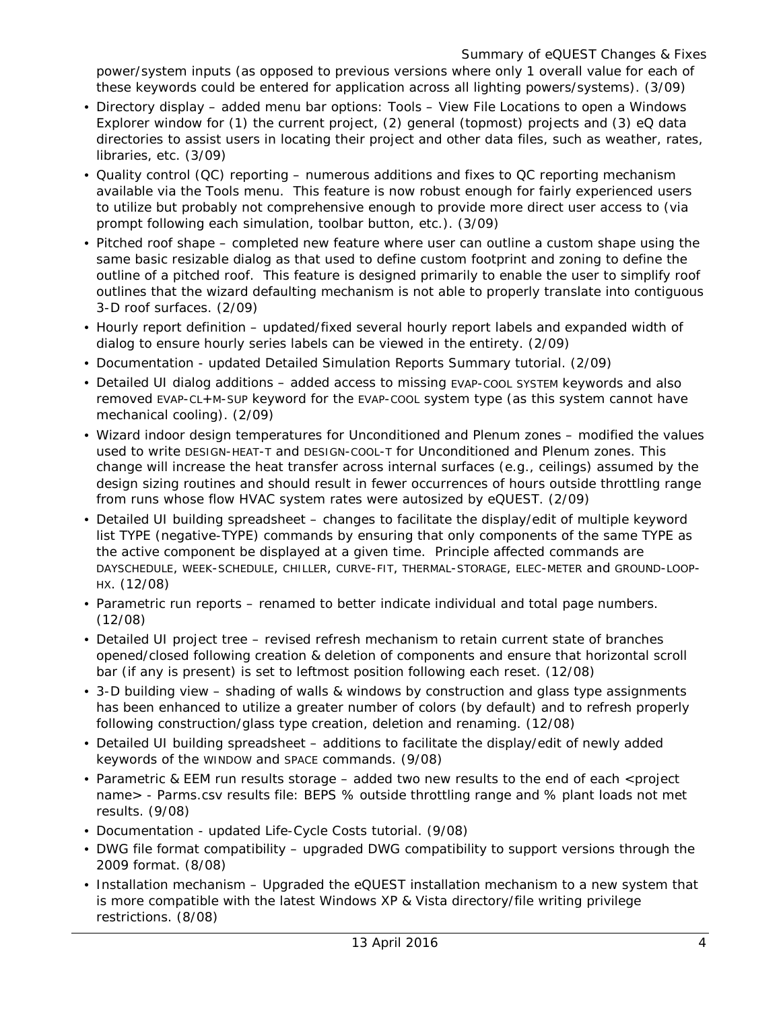Summary of eQUEST Changes & Fixes

power/system inputs (as opposed to previous versions where only 1 overall value for each of these keywords could be entered for application across all lighting powers/systems). (3/09)

- Directory display added menu bar options: Tools View File Locations to open a Windows Explorer window for (1) the current project, (2) general (topmost) projects and (3) eQ data directories to assist users in locating their project and other data files, such as weather, rates, libraries, etc. (3/09)
- Quality control (QC) reporting numerous additions and fixes to QC reporting mechanism available via the Tools menu. This feature is now robust enough for fairly experienced users to utilize but probably not comprehensive enough to provide more direct user access to (via prompt following each simulation, toolbar button, etc.). (3/09)
- Pitched roof shape completed new feature where user can outline a custom shape using the same basic resizable dialog as that used to define custom footprint and zoning to define the outline of a pitched roof. This feature is designed primarily to enable the user to simplify roof outlines that the wizard defaulting mechanism is not able to properly translate into contiguous 3-D roof surfaces. (2/09)
- Hourly report definition updated/fixed several hourly report labels and expanded width of dialog to ensure hourly series labels can be viewed in the entirety. (2/09)
- Documentation updated Detailed Simulation Reports Summary tutorial. (2/09)
- Detailed UI dialog additions added access to missing EVAP-COOL SYSTEM keywords and also removed EVAP-CL+M-SUP keyword for the EVAP-COOL system type (as this system cannot have mechanical cooling). (2/09)
- Wizard indoor design temperatures for Unconditioned and Plenum zones modified the values used to write DESIGN-HEAT-T and DESIGN-COOL-T for Unconditioned and Plenum zones. This change will increase the heat transfer across internal surfaces (e.g., ceilings) assumed by the design sizing routines and should result in fewer occurrences of hours outside throttling range from runs whose flow HVAC system rates were autosized by eQUEST. (2/09)
- Detailed UI building spreadsheet changes to facilitate the display/edit of multiple keyword list TYPE (negative-TYPE) commands by ensuring that only components of the same TYPE as the active component be displayed at a given time. Principle affected commands are DAYSCHEDULE, WEEK-SCHEDULE, CHILLER, CURVE-FIT, THERMAL-STORAGE, ELEC-METER and GROUND-LOOP-HX. (12/08)
- Parametric run reports renamed to better indicate individual and total page numbers. (12/08)
- Detailed UI project tree revised refresh mechanism to retain current state of branches opened/closed following creation & deletion of components and ensure that horizontal scroll bar (if any is present) is set to leftmost position following each reset. (12/08)
- 3-D building view shading of walls & windows by construction and glass type assignments has been enhanced to utilize a greater number of colors (by default) and to refresh properly following construction/glass type creation, deletion and renaming. (12/08)
- Detailed UI building spreadsheet additions to facilitate the display/edit of newly added keywords of the WINDOW and SPACE commands. (9/08)
- Parametric & EEM run results storage added two new results to the end of each <project name> - Parms.csv results file: BEPS % outside throttling range and % plant loads not met results. (9/08)
- Documentation updated Life-Cycle Costs tutorial. (9/08)
- DWG file format compatibility upgraded DWG compatibility to support versions through the 2009 format. (8/08)
- Installation mechanism Upgraded the eQUEST installation mechanism to a new system that is more compatible with the latest Windows XP & Vista directory/file writing privilege restrictions. (8/08)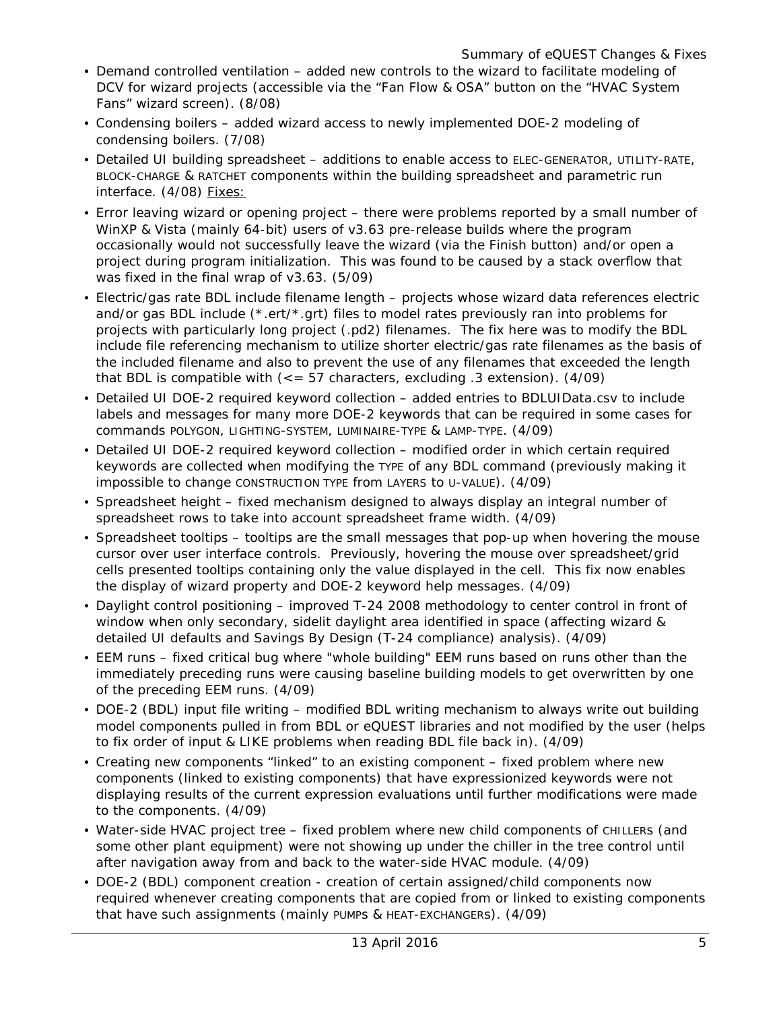- Demand controlled ventilation added new controls to the wizard to facilitate modeling of DCV for wizard projects (accessible via the "Fan Flow & OSA" button on the "HVAC System Fans" wizard screen). (8/08)
- Condensing boilers added wizard access to newly implemented DOE-2 modeling of condensing boilers. (7/08)
- Detailed UI building spreadsheet additions to enable access to ELEC-GENERATOR, UTILITY-RATE, BLOCK-CHARGE & RATCHET components within the building spreadsheet and parametric run interface. (4/08) Fixes:
- Error leaving wizard or opening project there were problems reported by a small number of WinXP & Vista (mainly 64-bit) users of v3.63 pre-release builds where the program occasionally would not successfully leave the wizard (via the Finish button) and/or open a project during program initialization. This was found to be caused by a stack overflow that was fixed in the final wrap of v3.63. (5/09)
- Electric/gas rate BDL include filename length projects whose wizard data references electric and/or gas BDL include (\*.ert/\*.grt) files to model rates previously ran into problems for projects with particularly long project (.pd2) filenames. The fix here was to modify the BDL include file referencing mechanism to utilize shorter electric/gas rate filenames as the basis of the included filename and also to prevent the use of any filenames that exceeded the length that BDL is compatible with  $\left(<=57 \text{ characters}, \text{ excluding } .3 \text{ extension} \right)$ .  $\left(4/09\right)$
- Detailed UI DOE-2 required keyword collection added entries to BDLUIData.csv to include labels and messages for many more DOE-2 keywords that can be required in some cases for commands POLYGON, LIGHTING-SYSTEM, LUMINAIRE-TYPE & LAMP-TYPE. (4/09)
- Detailed UI DOE-2 required keyword collection modified order in which certain required keywords are collected when modifying the TYPE of any BDL command (previously making it impossible to change CONSTRUCTION TYPE from LAYERS to U-VALUE). (4/09)
- Spreadsheet height fixed mechanism designed to always display an integral number of spreadsheet rows to take into account spreadsheet frame width. (4/09)
- Spreadsheet tooltips tooltips are the small messages that pop-up when hovering the mouse cursor over user interface controls. Previously, hovering the mouse over spreadsheet/grid cells presented tooltips containing only the value displayed in the cell. This fix now enables the display of wizard property and DOE-2 keyword help messages. (4/09)
- Daylight control positioning improved T-24 2008 methodology to center control in front of window when only secondary, sidelit daylight area identified in space (affecting wizard & detailed UI defaults and Savings By Design (T-24 compliance) analysis). (4/09)
- EEM runs fixed critical bug where "whole building" EEM runs based on runs other than the immediately preceding runs were causing baseline building models to get overwritten by one of the preceding EEM runs. (4/09)
- DOE-2 (BDL) input file writing modified BDL writing mechanism to always write out building model components pulled in from BDL or eQUEST libraries and not modified by the user (helps to fix order of input & LIKE problems when reading BDL file back in). (4/09)
- Creating new components "linked" to an existing component fixed problem where new components (linked to existing components) that have expressionized keywords were not displaying results of the current expression evaluations until further modifications were made to the components. (4/09)
- Water-side HVAC project tree fixed problem where new child components of CHILLERS (and some other plant equipment) were not showing up under the chiller in the tree control until after navigation away from and back to the water-side HVAC module. (4/09)
- DOE-2 (BDL) component creation creation of certain assigned/child components now required whenever creating components that are copied from or linked to existing components that have such assignments (mainly PUMPs & HEAT-EXCHANGERs). (4/09)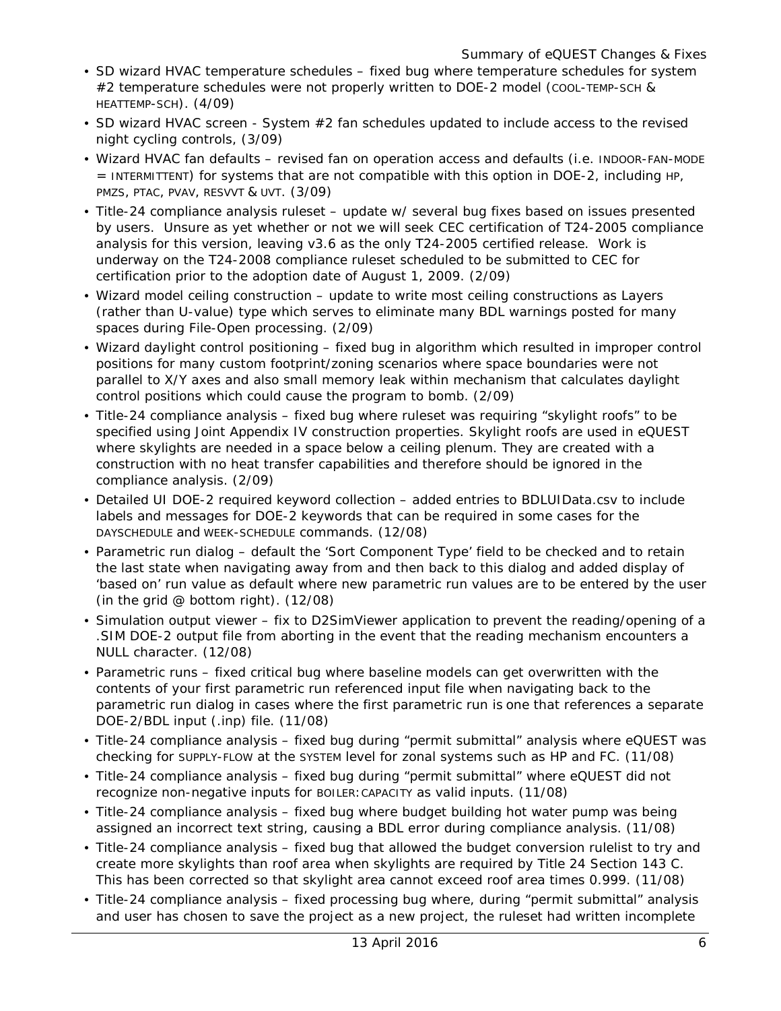- SD wizard HVAC temperature schedules fixed bug where temperature schedules for system #2 temperature schedules were not properly written to DOE-2 model (COOL-TEMP-SCH & HEATTEMP-SCH). (4/09)
- SD wizard HVAC screen System #2 fan schedules updated to include access to the revised night cycling controls, (3/09)
- Wizard HVAC fan defaults revised fan on operation access and defaults (i.e. INDOOR-FAN-MODE = INTERMITTENT) for systems that are not compatible with this option in DOE-2, including HP, PMZS, PTAC, PVAV, RESVVT & UVT. (3/09)
- Title-24 compliance analysis ruleset update w/ several bug fixes based on issues presented by users. Unsure as yet whether or not we will seek CEC certification of T24-2005 compliance analysis for this version, leaving v3.6 as the only T24-2005 certified release. Work is underway on the T24-2008 compliance ruleset scheduled to be submitted to CEC for certification prior to the adoption date of August 1, 2009. (2/09)
- Wizard model ceiling construction update to write most ceiling constructions as Layers (rather than U-value) type which serves to eliminate many BDL warnings posted for many spaces during File-Open processing. (2/09)
- Wizard daylight control positioning fixed bug in algorithm which resulted in improper control positions for many custom footprint/zoning scenarios where space boundaries were not parallel to X/Y axes and also small memory leak within mechanism that calculates daylight control positions which could cause the program to bomb. (2/09)
- Title-24 compliance analysis fixed bug where ruleset was requiring "skylight roofs" to be specified using Joint Appendix IV construction properties. Skylight roofs are used in eQUEST where skylights are needed in a space below a ceiling plenum. They are created with a construction with no heat transfer capabilities and therefore should be ignored in the compliance analysis. (2/09)
- Detailed UI DOE-2 required keyword collection added entries to BDLUIData.csv to include labels and messages for DOE-2 keywords that can be required in some cases for the DAYSCHEDULE and WEEK-SCHEDULE commands. (12/08)
- Parametric run dialog default the 'Sort Component Type' field to be checked and to retain the last state when navigating away from and then back to this dialog and added display of 'based on' run value as default where new parametric run values are to be entered by the user (in the grid @ bottom right). (12/08)
- Simulation output viewer fix to D2SimViewer application to prevent the reading/opening of a .SIM DOE-2 output file from aborting in the event that the reading mechanism encounters a NULL character. (12/08)
- Parametric runs fixed critical bug where baseline models can get overwritten with the contents of your first parametric run referenced input file when navigating back to the parametric run dialog in cases where the first parametric run is one that references a separate DOE-2/BDL input (.inp) file. (11/08)
- Title-24 compliance analysis fixed bug during "permit submittal" analysis where eQUEST was checking for SUPPLY-FLOW at the SYSTEM level for zonal systems such as HP and FC. (11/08)
- Title-24 compliance analysis fixed bug during "permit submittal" where eQUEST did not recognize non-negative inputs for BOILER:CAPACITY as valid inputs. (11/08)
- Title-24 compliance analysis fixed bug where budget building hot water pump was being assigned an incorrect text string, causing a BDL error during compliance analysis. (11/08)
- Title-24 compliance analysis fixed bug that allowed the budget conversion rulelist to try and create more skylights than roof area when skylights are required by Title 24 Section 143 C. This has been corrected so that skylight area cannot exceed roof area times 0.999. (11/08)
- Title-24 compliance analysis fixed processing bug where, during "permit submittal" analysis and user has chosen to save the project as a new project, the ruleset had written incomplete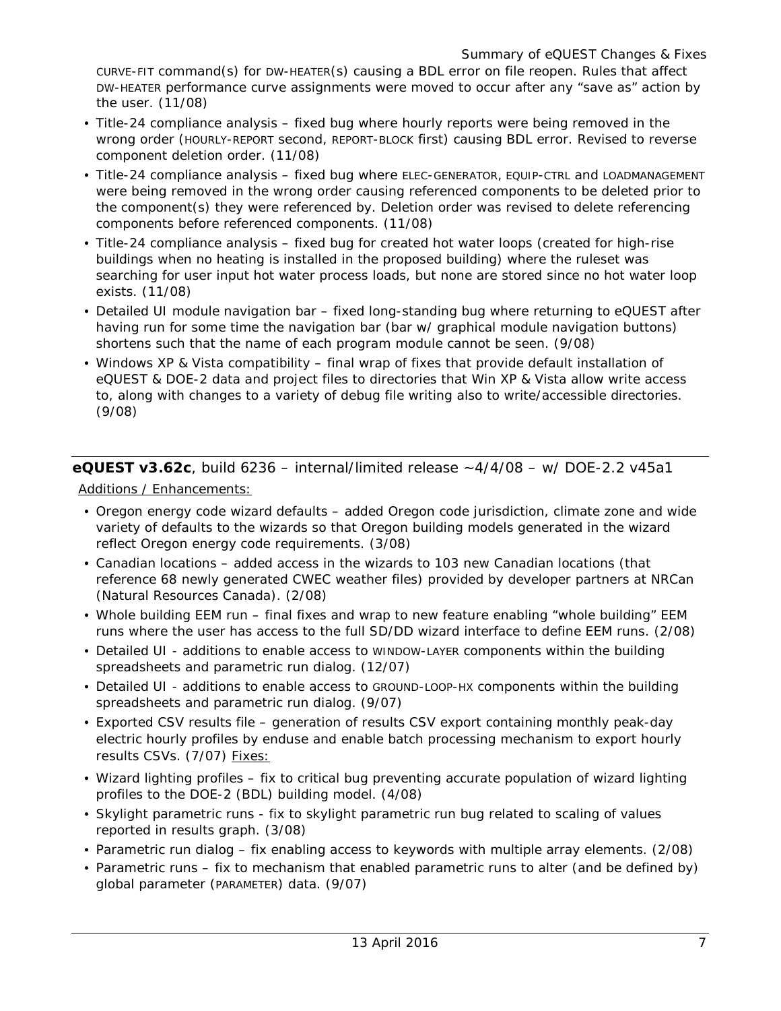CURVE-FIT command(s) for DW-HEATER(s) causing a BDL error on file reopen. Rules that affect DW-HEATER performance curve assignments were moved to occur after any "save as" action by the user. (11/08)

- Title-24 compliance analysis fixed bug where hourly reports were being removed in the wrong order (HOURLY-REPORT second, REPORT-BLOCK first) causing BDL error. Revised to reverse component deletion order. (11/08)
- Title-24 compliance analysis fixed bug where ELEC-GENERATOR, EQUIP-CTRL and LOADMANAGEMENT were being removed in the wrong order causing referenced components to be deleted prior to the component(s) they were referenced by. Deletion order was revised to delete referencing components before referenced components. (11/08)
- Title-24 compliance analysis fixed bug for created hot water loops (created for high-rise buildings when no heating is installed in the proposed building) where the ruleset was searching for user input hot water process loads, but none are stored since no hot water loop exists. (11/08)
- Detailed UI module navigation bar fixed long-standing bug where returning to eQUEST after having run for some time the navigation bar (bar w/ graphical module navigation buttons) shortens such that the name of each program module cannot be seen. (9/08)
- Windows XP & Vista compatibility final wrap of fixes that provide default installation of eQUEST & DOE-2 data and project files to directories that Win XP & Vista allow write access to, along with changes to a variety of debug file writing also to write/accessible directories. (9/08)

**eQUEST v3.62c**, build 6236 – internal/limited release ~4/4/08 – w/ DOE-2.2 v45a1

Additions / Enhancements:

- Oregon energy code wizard defaults added Oregon code jurisdiction, climate zone and wide variety of defaults to the wizards so that Oregon building models generated in the wizard reflect Oregon energy code requirements. (3/08)
- Canadian locations added access in the wizards to 103 new Canadian locations (that reference 68 newly generated CWEC weather files) provided by developer partners at NRCan (Natural Resources Canada). (2/08)
- Whole building EEM run final fixes and wrap to new feature enabling "whole building" EEM runs where the user has access to the full SD/DD wizard interface to define EEM runs. (2/08)
- Detailed UI additions to enable access to WINDOW-LAYER components within the building spreadsheets and parametric run dialog. (12/07)
- Detailed UI additions to enable access to GROUND-LOOP-HX components within the building spreadsheets and parametric run dialog. (9/07)
- Exported CSV results file generation of results CSV export containing monthly peak-day electric hourly profiles by enduse and enable batch processing mechanism to export hourly results CSVs. (7/07) Fixes:
- Wizard lighting profiles fix to critical bug preventing accurate population of wizard lighting profiles to the DOE-2 (BDL) building model. (4/08)
- Skylight parametric runs fix to skylight parametric run bug related to scaling of values reported in results graph. (3/08)
- Parametric run dialog fix enabling access to keywords with multiple array elements. (2/08)
- Parametric runs fix to mechanism that enabled parametric runs to alter (and be defined by) global parameter (PARAMETER) data. (9/07)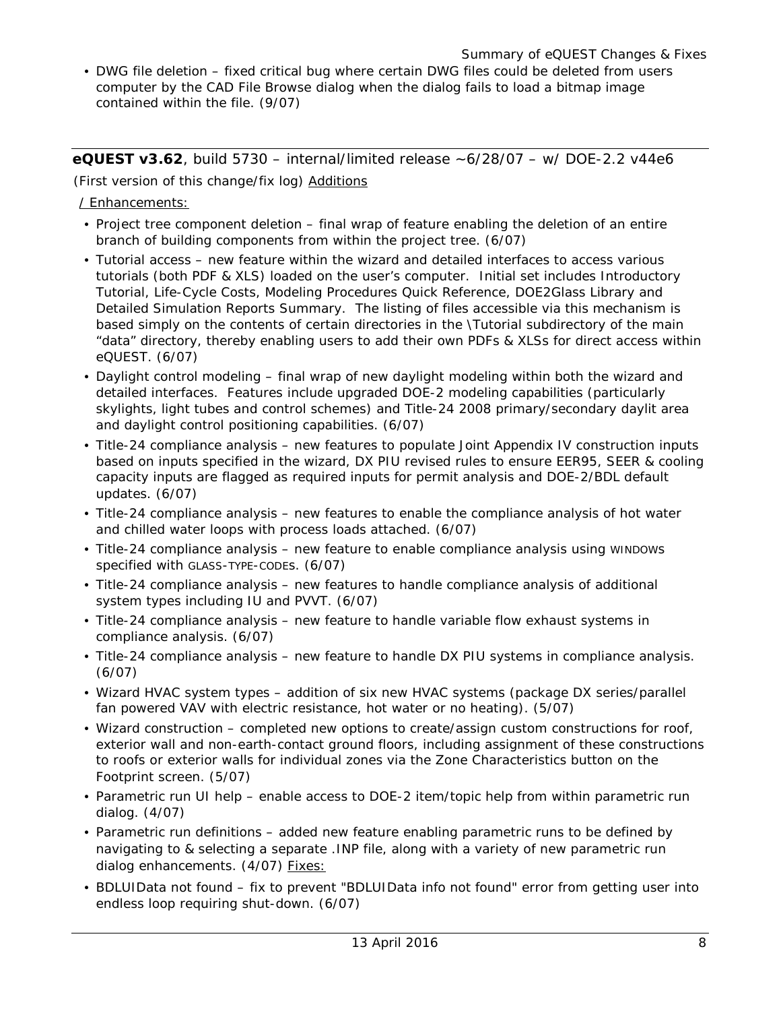• DWG file deletion – fixed critical bug where certain DWG files could be deleted from users computer by the CAD File Browse dialog when the dialog fails to load a bitmap image contained within the file. (9/07)

**eQUEST v3.62**, build 5730 – internal/limited release ~6/28/07 – w/ DOE-2.2 v44e6

(First version of this change/fix log) Additions

/ Enhancements:

- Project tree component deletion final wrap of feature enabling the deletion of an entire branch of building components from within the project tree. (6/07)
- Tutorial access new feature within the wizard and detailed interfaces to access various tutorials (both PDF & XLS) loaded on the user's computer. Initial set includes Introductory Tutorial, Life-Cycle Costs, Modeling Procedures Quick Reference, DOE2Glass Library and Detailed Simulation Reports Summary. The listing of files accessible via this mechanism is based simply on the contents of certain directories in the \Tutorial subdirectory of the main "data" directory, thereby enabling users to add their own PDFs & XLSs for direct access within eQUEST. (6/07)
- Daylight control modeling final wrap of new daylight modeling within both the wizard and detailed interfaces. Features include upgraded DOE-2 modeling capabilities (particularly skylights, light tubes and control schemes) and Title-24 2008 primary/secondary daylit area and daylight control positioning capabilities. (6/07)
- Title-24 compliance analysis new features to populate Joint Appendix IV construction inputs based on inputs specified in the wizard, DX PIU revised rules to ensure EER95, SEER & cooling capacity inputs are flagged as required inputs for permit analysis and DOE-2/BDL default updates. (6/07)
- Title-24 compliance analysis new features to enable the compliance analysis of hot water and chilled water loops with process loads attached. (6/07)
- Title-24 compliance analysis new feature to enable compliance analysis using WINDOWs specified with GLASS-TYPE-CODEs. (6/07)
- Title-24 compliance analysis new features to handle compliance analysis of additional system types including IU and PVVT. (6/07)
- Title-24 compliance analysis new feature to handle variable flow exhaust systems in compliance analysis. (6/07)
- Title-24 compliance analysis new feature to handle DX PIU systems in compliance analysis. (6/07)
- Wizard HVAC system types addition of six new HVAC systems (package DX series/parallel fan powered VAV with electric resistance, hot water or no heating). (5/07)
- Wizard construction completed new options to create/assign custom constructions for roof, exterior wall and non-earth-contact ground floors, including assignment of these constructions to roofs or exterior walls for individual zones via the Zone Characteristics button on the Footprint screen. (5/07)
- Parametric run UI help enable access to DOE-2 item/topic help from within parametric run dialog. (4/07)
- Parametric run definitions added new feature enabling parametric runs to be defined by navigating to & selecting a separate .INP file, along with a variety of new parametric run dialog enhancements. (4/07) Fixes:
- BDLUIData not found fix to prevent "BDLUIData info not found" error from getting user into endless loop requiring shut-down. (6/07)